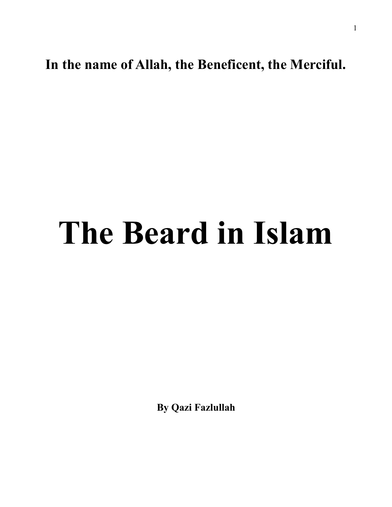**In the name of Allah, the Beneficent, the Merciful.** 

## **The Beard in Islam**

**By Qazi Fazlullah**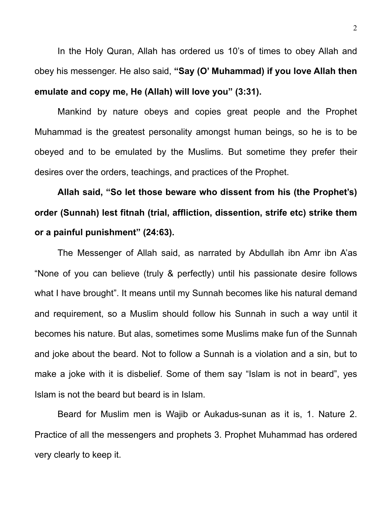In the Holy Quran, Allah has ordered us 10's of times to obey Allah and obey his messenger. He also said, **"Say (O' Muhammad) if you love Allah then emulate and copy me, He (Allah) will love you" (3:31).**

 Mankind by nature obeys and copies great people and the Prophet Muhammad is the greatest personality amongst human beings, so he is to be obeyed and to be emulated by the Muslims. But sometime they prefer their desires over the orders, teachings, and practices of the Prophet.

**Allah said, "So let those beware who dissent from his (the Prophet's) order (Sunnah) lest fitnah (trial, affliction, dissention, strife etc) strike them or a painful punishment" (24:63).** 

The Messenger of Allah said, as narrated by Abdullah ibn Amr ibn A'as "None of you can believe (truly & perfectly) until his passionate desire follows what I have brought". It means until my Sunnah becomes like his natural demand and requirement, so a Muslim should follow his Sunnah in such a way until it becomes his nature. But alas, sometimes some Muslims make fun of the Sunnah and joke about the beard. Not to follow a Sunnah is a violation and a sin, but to make a joke with it is disbelief. Some of them say "Islam is not in beard", yes Islam is not the beard but beard is in Islam.

 Beard for Muslim men is Wajib or Aukadus-sunan as it is, 1. Nature 2. Practice of all the messengers and prophets 3. Prophet Muhammad has ordered very clearly to keep it.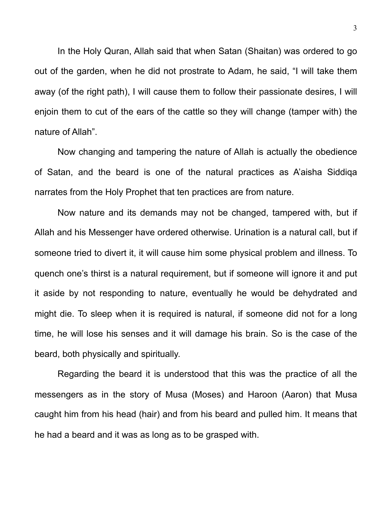In the Holy Quran, Allah said that when Satan (Shaitan) was ordered to go out of the garden, when he did not prostrate to Adam, he said, "I will take them away (of the right path), I will cause them to follow their passionate desires, I will enjoin them to cut of the ears of the cattle so they will change (tamper with) the nature of Allah".

 Now changing and tampering the nature of Allah is actually the obedience of Satan, and the beard is one of the natural practices as A'aisha Siddiqa narrates from the Holy Prophet that ten practices are from nature.

 Now nature and its demands may not be changed, tampered with, but if Allah and his Messenger have ordered otherwise. Urination is a natural call, but if someone tried to divert it, it will cause him some physical problem and illness. To quench one's thirst is a natural requirement, but if someone will ignore it and put it aside by not responding to nature, eventually he would be dehydrated and might die. To sleep when it is required is natural, if someone did not for a long time, he will lose his senses and it will damage his brain. So is the case of the beard, both physically and spiritually.

 Regarding the beard it is understood that this was the practice of all the messengers as in the story of Musa (Moses) and Haroon (Aaron) that Musa caught him from his head (hair) and from his beard and pulled him. It means that he had a beard and it was as long as to be grasped with.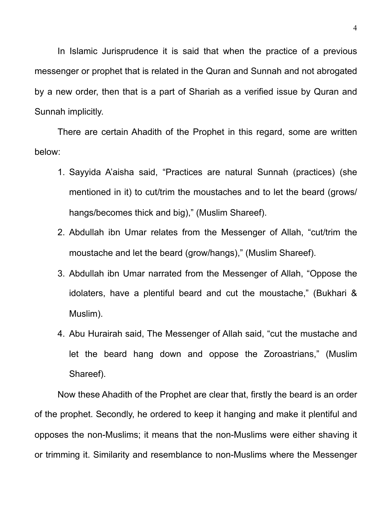In Islamic Jurisprudence it is said that when the practice of a previous messenger or prophet that is related in the Quran and Sunnah and not abrogated by a new order, then that is a part of Shariah as a verified issue by Quran and Sunnah implicitly.

 There are certain Ahadith of the Prophet in this regard, some are written below:

- 1. Sayyida A'aisha said, "Practices are natural Sunnah (practices) (she mentioned in it) to cut/trim the moustaches and to let the beard (grows/ hangs/becomes thick and big)," (Muslim Shareef).
- 2. Abdullah ibn Umar relates from the Messenger of Allah, "cut/trim the moustache and let the beard (grow/hangs)," (Muslim Shareef).
- 3. Abdullah ibn Umar narrated from the Messenger of Allah, "Oppose the idolaters, have a plentiful beard and cut the moustache," (Bukhari & Muslim).
- 4. Abu Hurairah said, The Messenger of Allah said, "cut the mustache and let the beard hang down and oppose the Zoroastrians," (Muslim Shareef).

Now these Ahadith of the Prophet are clear that, firstly the beard is an order of the prophet. Secondly, he ordered to keep it hanging and make it plentiful and opposes the non-Muslims; it means that the non-Muslims were either shaving it or trimming it. Similarity and resemblance to non-Muslims where the Messenger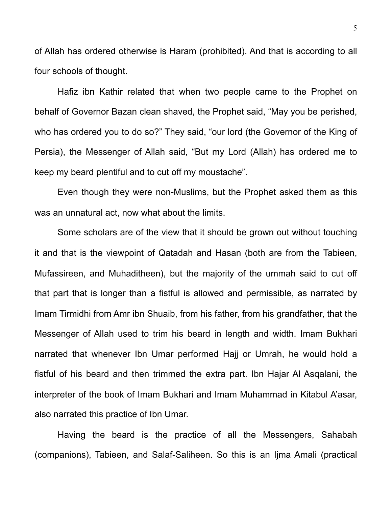of Allah has ordered otherwise is Haram (prohibited). And that is according to all four schools of thought.

Hafiz ibn Kathir related that when two people came to the Prophet on behalf of Governor Bazan clean shaved, the Prophet said, "May you be perished, who has ordered you to do so?" They said, "our lord (the Governor of the King of Persia), the Messenger of Allah said, "But my Lord (Allah) has ordered me to keep my beard plentiful and to cut off my moustache".

Even though they were non-Muslims, but the Prophet asked them as this was an unnatural act, now what about the limits.

Some scholars are of the view that it should be grown out without touching it and that is the viewpoint of Qatadah and Hasan (both are from the Tabieen, Mufassireen, and Muhaditheen), but the majority of the ummah said to cut off that part that is longer than a fistful is allowed and permissible, as narrated by Imam Tirmidhi from Amr ibn Shuaib, from his father, from his grandfather, that the Messenger of Allah used to trim his beard in length and width. Imam Bukhari narrated that whenever Ibn Umar performed Hajj or Umrah, he would hold a fistful of his beard and then trimmed the extra part. Ibn Hajar Al Asqalani, the interpreter of the book of Imam Bukhari and Imam Muhammad in Kitabul A'asar, also narrated this practice of Ibn Umar.

Having the beard is the practice of all the Messengers, Sahabah (companions), Tabieen, and Salaf-Saliheen. So this is an Ijma Amali (practical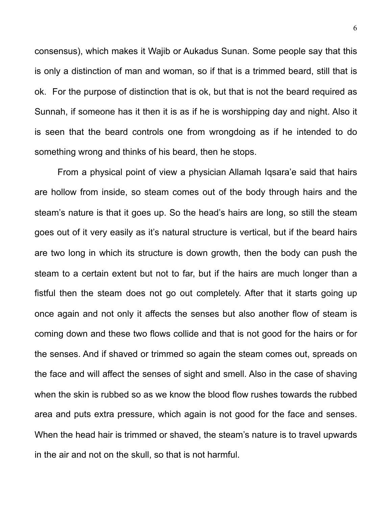consensus), which makes it Wajib or Aukadus Sunan. Some people say that this is only a distinction of man and woman, so if that is a trimmed beard, still that is ok. For the purpose of distinction that is ok, but that is not the beard required as Sunnah, if someone has it then it is as if he is worshipping day and night. Also it is seen that the beard controls one from wrongdoing as if he intended to do something wrong and thinks of his beard, then he stops.

From a physical point of view a physician Allamah Iqsara'e said that hairs are hollow from inside, so steam comes out of the body through hairs and the steam's nature is that it goes up. So the head's hairs are long, so still the steam goes out of it very easily as it's natural structure is vertical, but if the beard hairs are two long in which its structure is down growth, then the body can push the steam to a certain extent but not to far, but if the hairs are much longer than a fistful then the steam does not go out completely. After that it starts going up once again and not only it affects the senses but also another flow of steam is coming down and these two flows collide and that is not good for the hairs or for the senses. And if shaved or trimmed so again the steam comes out, spreads on the face and will affect the senses of sight and smell. Also in the case of shaving when the skin is rubbed so as we know the blood flow rushes towards the rubbed area and puts extra pressure, which again is not good for the face and senses. When the head hair is trimmed or shaved, the steam's nature is to travel upwards in the air and not on the skull, so that is not harmful.